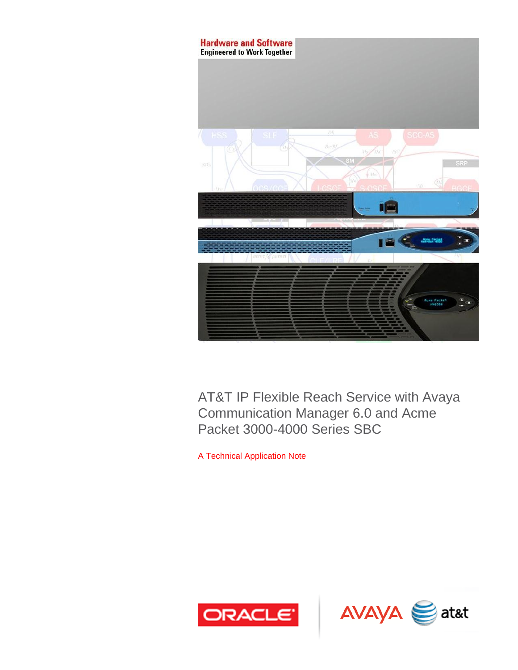

AT&T IP Flexible Reach Service with Avaya Communication Manager 6.0 and Acme Packet 3000-4000 Series SBC

A Technical Application Note



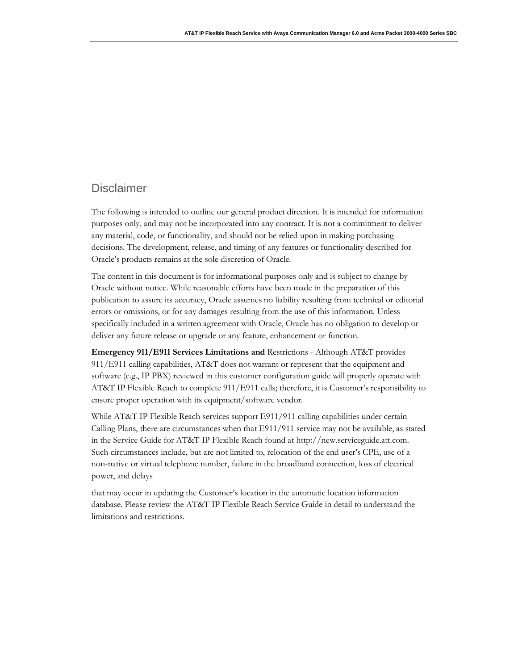#### **Disclaimer**

The following is intended to outline our general product direction. It is intended for information purposes only, and may not be incorporated into any contract. It is not a commitment to deliver any material, code, or functionality, and should not be relied upon in making purchasing decisions. The development, release, and timing of any features or functionality described for Oracle's products remains at the sole discretion of Oracle.

The content in this document is for informational purposes only and is subject to change by Oracle without notice. While reasonable efforts have been made in the preparation of this publication to assure its accuracy, Oracle assumes no liability resulting from technical or editorial errors or omissions, or for any damages resulting from the use of this information. Unless specifically included in a written agreement with Oracle, Oracle has no obligation to develop or deliver any future release or upgrade or any feature, enhancement or function.

**Emergency 911/E911 Services Limitations and** Restrictions - Although AT&T provides 911/E911 calling capabilities, AT&T does not warrant or represent that the equipment and software (e.g., IP PBX) reviewed in this customer configuration guide will properly operate with AT&T IP Flexible Reach to complete 911/E911 calls; therefore, it is Customer's responsibility to ensure proper operation with its equipment/software vendor.

While AT&T IP Flexible Reach services support E911/911 calling capabilities under certain Calling Plans, there are circumstances when that E911/911 service may not be available, as stated in the Service Guide for AT&T IP Flexible Reach found at [http://new.serviceguide.att.com.](http://new.serviceguide.att.com/)  Such circumstances include, but are not limited to, relocation of the end user's CPE, use of a non-native or virtual telephone number, failure in the broadband connection, loss of electrical power, and delays

that may occur in updating the Customer's location in the automatic location information database. Please review the AT&T IP Flexible Reach Service Guide in detail to understand the limitations and restrictions.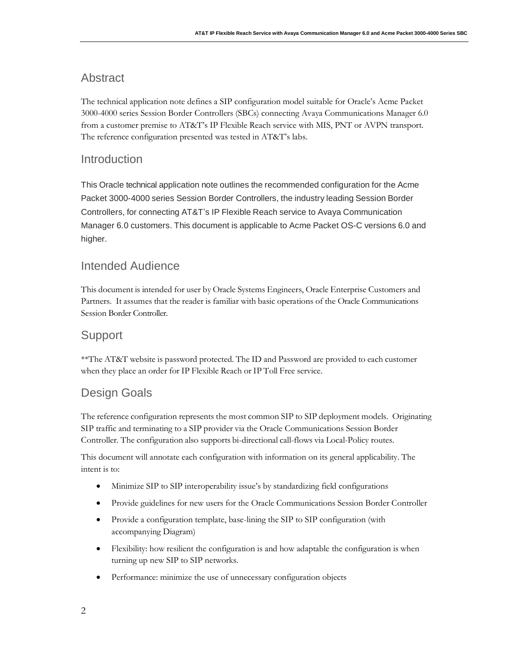### <span id="page-3-0"></span>Abstract

The technical application note defines a SIP configuration model suitable for Oracle's Acme Packet 3000-4000 series Session Border Controllers (SBCs) connecting Avaya Communications Manager 6.0 from a customer premise to AT&T's IP Flexible Reach service with MIS, PNT or AVPN transport. The reference configuration presented was tested in AT&T's labs.

### <span id="page-3-1"></span>Introduction

This Oracle technical application note outlines the recommended configuration for the Acme Packet 3000-4000 series Session Border Controllers, the industry leading Session Border Controllers, for connecting AT&T's IP Flexible Reach service to Avaya Communication Manager 6.0 customers. This document is applicable to Acme Packet OS-C versions 6.0 and higher.

## <span id="page-3-2"></span>Intended Audience

This document is intended for user by Oracle Systems Engineers, Oracle Enterprise Customers and Partners. It assumes that the reader is familiar with basic operations of the Oracle Communications Session Border Controller.

### <span id="page-3-3"></span>**Support**

\*\*The AT&T website is password protected. The ID and Password are provided to each customer when they place an order for IP Flexible Reach or IP Toll Free service.

## <span id="page-3-4"></span>Design Goals

The reference configuration represents the most common SIP to SIP deployment models. Originating SIP traffic and terminating to a SIP provider via the Oracle Communications Session Border Controller. The configuration also supports bi-directional call-flows via Local-Policy routes.

This document will annotate each configuration with information on its general applicability. The intent is to:

- Minimize SIP to SIP interoperability issue's by standardizing field configurations
- Provide guidelines for new users for the Oracle Communications Session Border Controller
- Provide a configuration template, base-lining the SIP to SIP configuration (with accompanying Diagram)
- Flexibility: how resilient the configuration is and how adaptable the configuration is when turning up new SIP to SIP networks.
- Performance: minimize the use of unnecessary configuration objects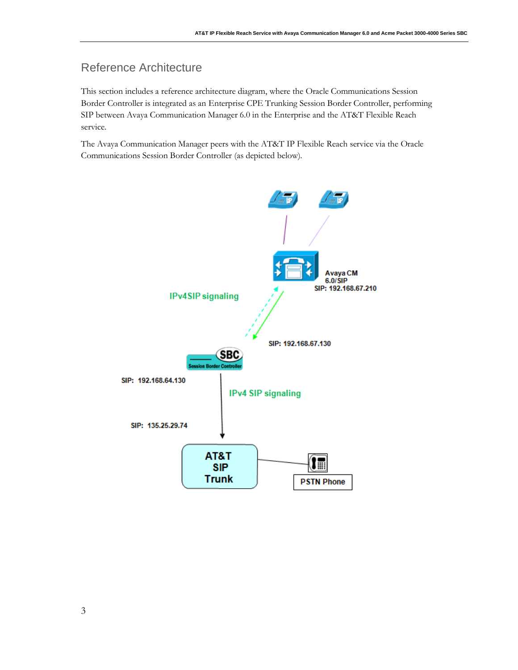## <span id="page-4-0"></span>Reference Architecture

This section includes a reference architecture diagram, where the Oracle Communications Session Border Controller is integrated as an Enterprise CPE Trunking Session Border Controller, performing SIP between Avaya Communication Manager 6.0 in the Enterprise and the AT&T Flexible Reach service.

The Avaya Communication Manager peers with the AT&T IP Flexible Reach service via the Oracle Communications Session Border Controller (as depicted below).

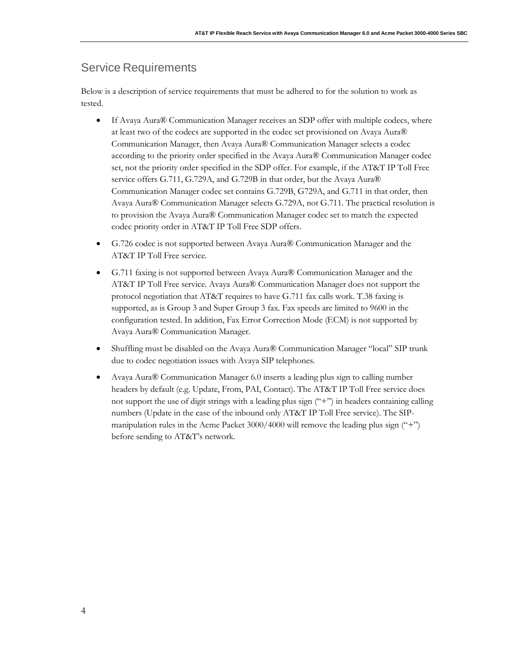#### <span id="page-5-0"></span>Service Requirements

Below is a description of service requirements that must be adhered to for the solution to work as tested.

- If Avaya Aura® Communication Manager receives an SDP offer with multiple codecs, where at least two of the codecs are supported in the codec set provisioned on Avaya Aura® Communication Manager, then Avaya Aura® Communication Manager selects a codec according to the priority order specified in the Avaya Aura® Communication Manager codec set, not the priority order specified in the SDP offer. For example, if the AT&T IP Toll Free service offers G.711, G.729A, and G.729B in that order, but the Avaya Aura<sup>®</sup> Communication Manager codec set contains G.729B, G729A, and G.711 in that order, then Avaya Aura® Communication Manager selects G.729A, not G.711. The practical resolution is to provision the Avaya Aura® Communication Manager codec set to match the expected codec priority order in AT&T IP Toll Free SDP offers.
- G.726 codec is not supported between Avaya Aura® Communication Manager and the AT&T IP Toll Free service.
- G.711 faxing is not supported between Avaya Aura® Communication Manager and the AT&T IP Toll Free service. Avaya Aura® Communication Manager does not support the protocol negotiation that AT&T requires to have G.711 fax calls work. T.38 faxing is supported, as is Group 3 and Super Group 3 fax. Fax speeds are limited to 9600 in the configuration tested. In addition, Fax Error Correction Mode (ECM) is not supported by Avaya Aura® Communication Manager.
- Shuffling must be disabled on the Avaya Aura® Communication Manager "local" SIP trunk due to codec negotiation issues with Avaya SIP telephones.
- Avaya Aura® Communication Manager 6.0 inserts a leading plus sign to calling number headers by default (e.g. Update, From, PAI, Contact). The AT&T IP Toll Free service does not support the use of digit strings with a leading plus sign ("+") in headers containing calling numbers (Update in the case of the inbound only AT&T IP Toll Free service). The SIPmanipulation rules in the Acme Packet 3000/4000 will remove the leading plus sign ("+") before sending to AT&T's network.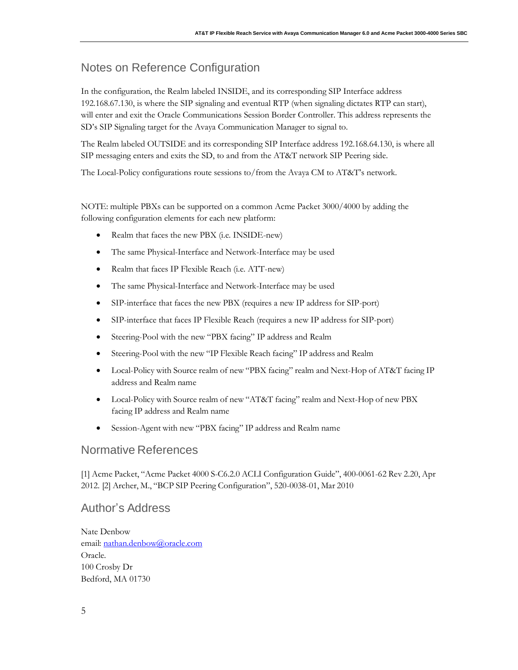## <span id="page-6-0"></span>Notes on Reference Configuration

In the configuration, the Realm labeled INSIDE, and its corresponding SIP Interface address 192.168.67.130, is where the SIP signaling and eventual RTP (when signaling dictates RTP can start), will enter and exit the Oracle Communications Session Border Controller. This address represents the SD's SIP Signaling target for the Avaya Communication Manager to signal to.

The Realm labeled OUTSIDE and its corresponding SIP Interface address 192.168.64.130, is where all SIP messaging enters and exits the SD, to and from the AT&T network SIP Peering side.

The Local-Policy configurations route sessions to/from the Avaya CM to AT&T's network.

NOTE: multiple PBXs can be supported on a common Acme Packet 3000/4000 by adding the following configuration elements for each new platform:

- Realm that faces the new PBX (i.e. INSIDE-new)
- The same Physical-Interface and Network-Interface may be used
- Realm that faces IP Flexible Reach (i.e. ATT-new)
- The same Physical-Interface and Network-Interface may be used
- SIP-interface that faces the new PBX (requires a new IP address for SIP-port)
- SIP-interface that faces IP Flexible Reach (requires a new IP address for SIP-port)
- Steering-Pool with the new "PBX facing" IP address and Realm
- Steering-Pool with the new "IP Flexible Reach facing" IP address and Realm
- Local-Policy with Source realm of new "PBX facing" realm and Next-Hop of AT&T facing IP address and Realm name
- Local-Policy with Source realm of new "AT&T facing" realm and Next-Hop of new PBX facing IP address and Realm name
- Session-Agent with new "PBX facing" IP address and Realm name

### <span id="page-6-1"></span>Normative References

[1] Acme Packet, "Acme Packet 4000 S-C6.2.0 ACLI Configuration Guide", 400-0061-62 Rev 2.20, Apr 2012. [2] Archer, M., "BCP SIP Peering Configuration", 520-0038-01, Mar 2010

### <span id="page-6-2"></span>Author's Address

Nate Denbow email: [nathan.denbow@oracle.com](mailto:nathan.denbow@oracle.com) Oracle. 100 Crosby Dr Bedford, MA 01730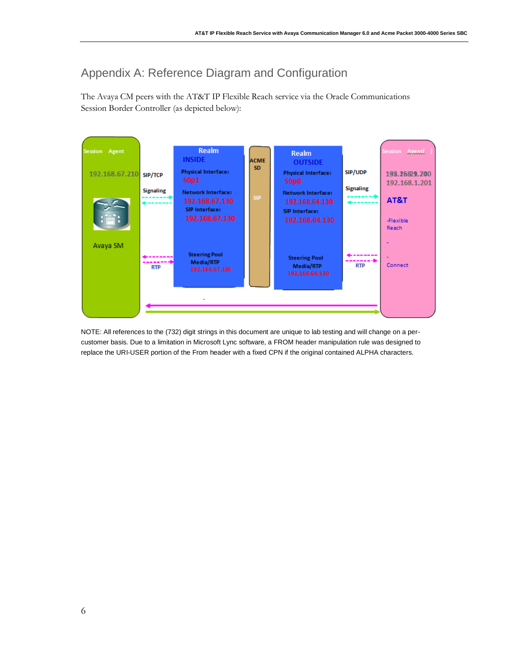# <span id="page-7-0"></span>Appendix A: Reference Diagram and Configuration

The Avaya CM peers with the AT&T IP Flexible Reach service via the Oracle Communications Session Border Controller (as depicted below):



NOTE: All references to the (732) digit strings in this document are unique to lab testing and will change on a percustomer basis. Due to a limitation in Microsoft Lync software, a FROM header manipulation rule was designed to replace the URI-USER portion of the From header with a fixed CPN if the original contained ALPHA characters.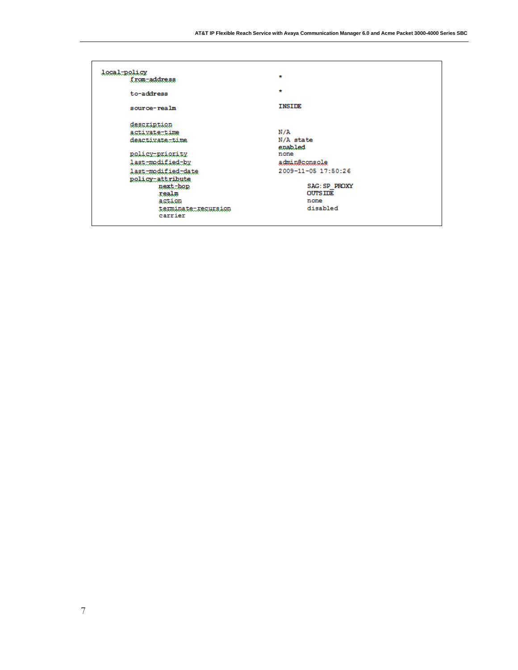| local-policy<br>from-address | $\star$              |
|------------------------------|----------------------|
|                              |                      |
| to-address                   | $\star$              |
| source-realm                 | <b>INSIDE</b>        |
| description                  |                      |
| activate-time                | N/A                  |
| deactivate-time              | N/A state            |
|                              | enabled              |
| policy-priority              | none                 |
| last-modified-by             | admin@console        |
| last-modified-date           | 2009-11-05 17:50:26  |
| policy-attribute             |                      |
| next-hop                     | <b>SAG: SP PROXY</b> |
| realm                        | <b>OUTS IDE</b>      |
| action                       | none                 |
| terminate-recursion          | disabled             |
| carrier                      |                      |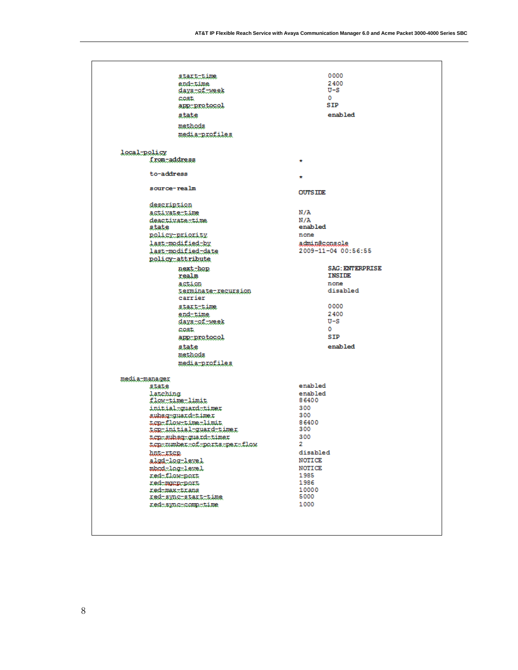| start-time<br>endutime                               | 0000<br>2400           |
|------------------------------------------------------|------------------------|
| <u>days.tof.tweek</u>                                | $U-S$                  |
| cost                                                 | o                      |
| app-protocol                                         | SIP                    |
| state                                                | enabled                |
| methods                                              |                        |
| media-profiles                                       |                        |
| local-policy                                         |                        |
| from-address                                         | $\star$                |
| to-address                                           | ÷                      |
| source-realm                                         | <b>OUTSIDE</b>         |
|                                                      |                        |
| description                                          |                        |
| activate-time                                        | N/A                    |
| deactivate=time<br>state                             | N/A<br>enabled         |
| policy-priority                                      | none                   |
| <i>last-modified-by</i>                              | admin@console          |
| last-modified-date                                   | 2009-11-04 00:56:55    |
| policy-attribute                                     |                        |
| next-hop                                             | <b>SAG: ENTERPRISE</b> |
| realm                                                | <b>INSIDE</b>          |
| action                                               | none                   |
| terminate-recursion                                  | disabled               |
| carrier                                              |                        |
| start-time                                           | 0000                   |
| end-time                                             | 2400                   |
| <u>days-of-week</u>                                  | $U-S$                  |
| <b>COST.</b>                                         | ٥                      |
| app-protocol                                         | <b>STP</b>             |
| state                                                | enabled                |
| methods                                              |                        |
| media-profiles                                       |                        |
| media-manager                                        | enabled                |
| state<br>latching                                    | enabled                |
| flow-time-limit                                      | 86400                  |
| initial=guard=timer                                  | 300                    |
| subsg-guard-timer                                    | 300                    |
| tentlowtimetlimit                                    | 86400                  |
| tcp-initial-quard-timer                              | 300                    |
| top-subsg-guard-timer<br>tepmumbermofmportsmpermflow | 300<br>2.              |
| bathicle                                             | disabled               |
| algd-log-level                                       | NOTICE                 |
| mbcd=log=level                                       | NOTICE                 |
| red <del>.tlo</del> w.port                           | 1985                   |
| ned-mann-port                                        | 1986                   |
| redtmaxttrans                                        | 10000                  |
| redisyncistartitime                                  | 5000                   |
|                                                      |                        |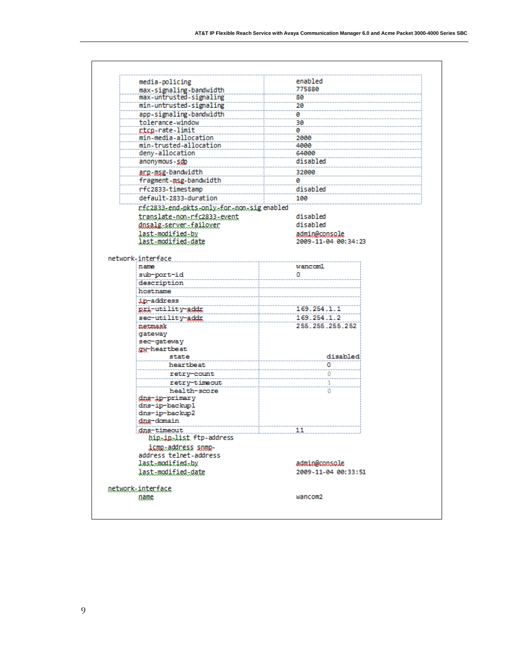|                   | media-policing                                    | enabled             |
|-------------------|---------------------------------------------------|---------------------|
|                   | max-signaling-bandwidth                           | 775880              |
|                   | max-untrusted-signaling                           | 88                  |
|                   | min-untrusted-signaling                           | 20                  |
|                   | app-signaling-bandwidth                           | ø                   |
|                   | tolerance-window                                  | 30                  |
|                   | rtcp-rate-limit                                   | ø                   |
|                   | min-media-allocation                              | 2000                |
|                   | min-trusted-allocation                            | 4000                |
|                   | deny-allocation                                   | 64000               |
|                   | anonymous-sdp                                     | disabled            |
|                   | arp-msg-bandwidth                                 | 32000               |
|                   | fragment-msg-bandwidth                            | ø                   |
|                   | rfc2833-timestamp                                 | disabled            |
|                   | default-2833-duration                             | 100                 |
|                   |                                                   |                     |
|                   | rfc2833-end-pkts-only-for-non-sigenabled          |                     |
|                   | translate-non-rfc2833-event                       | disabled            |
|                   | dnsalg-server-failover                            | disabled            |
|                   | last-modified-by                                  | admin@console       |
|                   | last-modified-date                                | 2009-11-04 00:34:23 |
|                   |                                                   |                     |
| network-interface |                                                   |                     |
|                   | name                                              | wancom1             |
|                   | sub-port-id                                       | ٥                   |
|                   | description                                       |                     |
|                   | hostname                                          |                     |
|                   | ip-address                                        |                     |
|                   | pri-utility-addr                                  | 169.254.1.1         |
|                   | sec-utility-addr                                  | 169.254.1.2         |
|                   | netmask                                           | 255.255.255.252     |
|                   | gateway                                           |                     |
|                   | sec-gateway                                       |                     |
|                   | gw-heartbeat                                      |                     |
|                   | state                                             | disabled            |
|                   | heartbeat                                         | ٥                   |
|                   | retry-count                                       | 0                   |
|                   | retry-timeout                                     | 1                   |
|                   | health-score                                      | 0                   |
|                   | dns-ip-primary                                    |                     |
|                   | dns-ip-backup1                                    |                     |
|                   | dns-ip-backup2                                    |                     |
|                   | dns-domain                                        |                     |
|                   | dns-timeout                                       | 11                  |
|                   | hip <sub>s</sub> ip <sub>s</sub> list ftp-address |                     |
|                   | <u>icmp-address snmp-</u>                         |                     |
|                   | address telnet-address                            |                     |
|                   | last-modified-by                                  | admin@console       |
|                   |                                                   |                     |
|                   |                                                   |                     |
|                   | last-modified-date                                | 2009-11-04 00:33:51 |
|                   |                                                   |                     |
| network-interface | name                                              | wancom2             |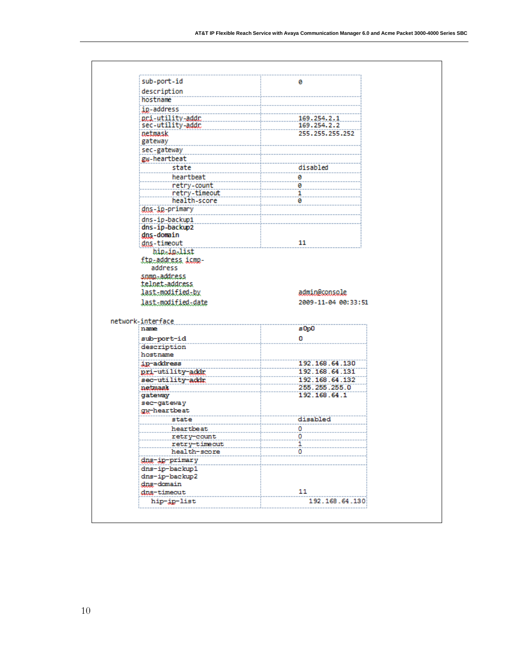| sub-port-id                    | ø                    |
|--------------------------------|----------------------|
| description                    |                      |
| hostname                       |                      |
| ip-address                     |                      |
| pri-utility-addr               | 169.254.2.1          |
| sec-utility-addr.              | 169.254.2.2          |
| netmask                        | 255.255.255.252      |
| gateway                        |                      |
| sec-gateway                    |                      |
| gw-heartbeat                   |                      |
| state                          | disabled             |
| heartbeat                      | 0                    |
| retry-count                    | 0                    |
| retry-timeout                  | 1                    |
| health-score                   | 0                    |
| <u>dns-ip</u> -primary         |                      |
| dns-ip-backup1                 |                      |
| dns-ip-backup2                 |                      |
| dns-domain                     |                      |
| dns-timeout                    | 11                   |
| hip-in-list                    |                      |
| ftp-address icmp-              |                      |
| address                        |                      |
|                                |                      |
|                                |                      |
| snmp-address<br>telnet-address |                      |
| last-modified-by               |                      |
|                                | admin@console        |
| last-modified-date             | 2009-11-04 00:33:51  |
|                                |                      |
| network-interface<br>name      |                      |
|                                | s0p0                 |
| sub-port-id                    | 0                    |
| description                    |                      |
| hostname                       |                      |
| ip-address                     | 192.168.64.130       |
| pri-utility-addr               | 192.168.64.131       |
| sec-utility-addr               | 192.168.64.132       |
| netmask                        | 255.255.255.0        |
| gateway                        | 192.168.64.1         |
| sec-gateway                    |                      |
| gw-heartbeat                   |                      |
| state                          | disabled             |
| heartbeat                      | ٥                    |
| retry-count                    | ٥                    |
| retry-timeout                  | 1                    |
| health-score                   | ٥                    |
| dng-ip-primary                 |                      |
| dns-ip-backup1                 |                      |
| dns-ip-backup2                 |                      |
| <u>dng-domain</u>              |                      |
| dns-timeout<br>hip-ip-list     | 11<br>192.168.64.130 |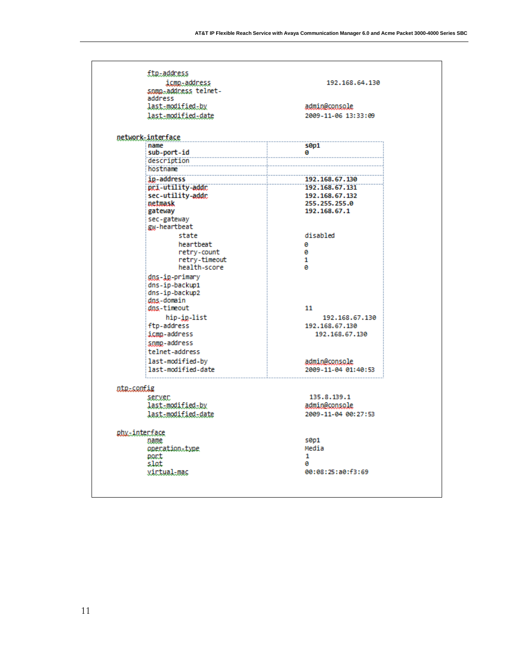| icmp-address<br>snmn-address telnet- | 192.168.64.130       |
|--------------------------------------|----------------------|
| address                              | admin@console        |
| last-modified-by                     | 2009-11-06 13:33:09  |
| last-modified-date                   |                      |
| network-interface                    |                      |
| name                                 | s0p1                 |
| sub-port-id<br>description           | ø                    |
| hostname                             |                      |
| ip-address                           | 192.168.67.130       |
| pri-utility-addr                     | 192.168.67.131       |
| sec-utility-addr.                    | 192.168.67.132       |
| netmask                              | 255.255.255.0        |
| gateway                              | 192.168.67.1         |
| sec-gateway<br>gw-heartbeat          |                      |
| state                                | disabled             |
| heartbeat                            | ø                    |
| retry-count                          | ø                    |
| retry-timeout                        | 1                    |
| health-score                         | ø                    |
| dns-ip-primary                       |                      |
| dns-ip-backup1                       |                      |
| dns-ip-backup2<br>dns-domain         |                      |
| dns-timeout                          | 11                   |
| hip-ip-list                          | 192.168.67.130       |
| ftp-address                          | 192.168.67.130       |
| icmp-address                         | 192.168.67.130       |
| snmp-address                         |                      |
| telnet-address                       |                      |
| last-modified-by                     | admin@console        |
| last-modified-date                   | 2009-11-04 01:40:53  |
| ata.coofig                           |                      |
| server                               | 135.8.139.1          |
| last-modified-by                     | <u>admin@console</u> |
| <u>last-modified-date</u>            | 2009-11-04 00:27:53  |
|                                      |                      |
| phy-interface                        |                      |
| name                                 | s0p1<br>Media        |
| operation-type<br>port               | 1                    |
| slot                                 | a                    |
| <u>virtual-mac</u>                   | 00:08:25:a0:f3:69    |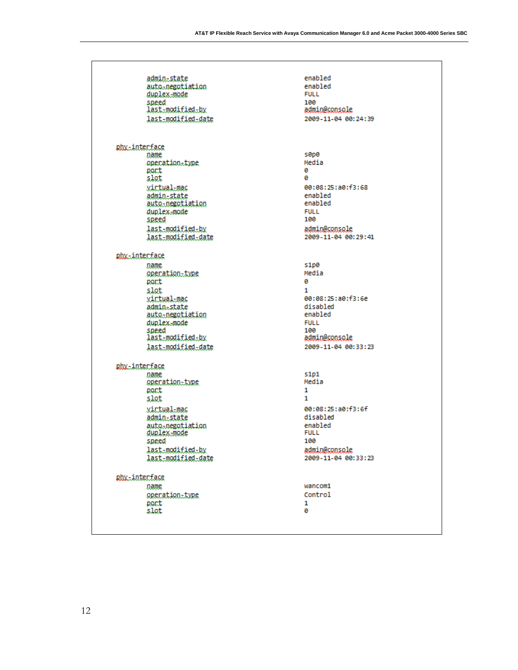| <u>admin-state</u>                                      | enabled                        |
|---------------------------------------------------------|--------------------------------|
| auto-negotiation                                        | enabled                        |
| duplex-mode                                             | <b>FULL</b>                    |
| speed                                                   | 100                            |
| last-modified-by                                        | admin@console                  |
| last-modified-date                                      | 2009-11-04 00:24:39            |
| phy-interface<br>name                                   | s0p0                           |
| operation-type                                          | Media                          |
| port                                                    | ø                              |
| slot                                                    | ø                              |
| <u>virtual-mac</u>                                      | 00:08:25:a0:f3:68              |
| <u>admin-state</u>                                      | enabled                        |
| <u>auto-negotiation</u>                                 | enabled                        |
| duplex-mode                                             | <b>FULL</b>                    |
| speed                                                   | 100                            |
| last-modified-by                                        | admin@console                  |
| last-modified-date                                      | 2009-11-04 00:29:41            |
| phy-interface                                           |                                |
| name                                                    | s1p0                           |
| operation-type                                          | Media                          |
| port                                                    | ø                              |
| slot                                                    | 1                              |
| virtual-mac                                             | 00:08:25:a0:f3:6e              |
| admin-state                                             | disabled                       |
| <u>auto-negotiation</u>                                 | enabled                        |
| duplex-mode                                             | <b>FULL</b>                    |
| speed                                                   | 100                            |
| last-modified-by                                        | admin@console                  |
| last-modified-date                                      | 2009-11-04 00:33:23            |
| phy-interface<br>name<br>operation-type<br>port<br>slot | <b>S1p1</b><br>Media<br>1<br>1 |
| virtual-mac                                             | 00:08:25:a0:f3:6f              |
| admin-state                                             | disabled                       |
| auto-negotiation                                        | enabled                        |
| duplex-mode                                             | <b>FULL</b>                    |
| speed                                                   | 100                            |
| last-modified-by                                        | admin@console                  |
| last-modified-date                                      | 2009-11-04 00:33:23            |
| phy-interface                                           |                                |
| name                                                    | wancom1                        |
| operation-type                                          | Control                        |
| port                                                    | 1                              |
| slot                                                    | Θ                              |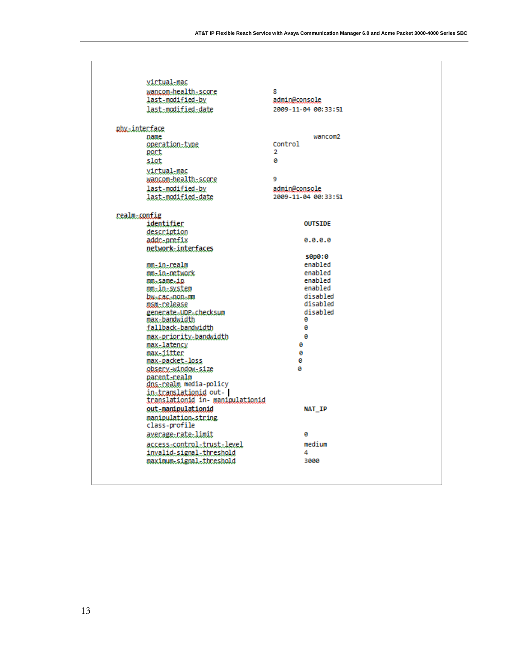|               | <u>virtual-mac</u>                                         |                     |  |
|---------------|------------------------------------------------------------|---------------------|--|
|               | wancom-health-score                                        | 8                   |  |
|               | last-modified-by                                           | admin@console       |  |
|               | last-modified-date                                         | 2009-11-04 00:33:51 |  |
| phy-interface |                                                            |                     |  |
| name          |                                                            | wancom <sub>2</sub> |  |
|               | operation-type                                             | Control             |  |
| port          |                                                            | 2                   |  |
| slot          |                                                            | ø                   |  |
|               | virtual-mac                                                |                     |  |
|               | wancom-health-score                                        | 9                   |  |
|               | last-modified-by                                           | admin@console       |  |
|               |                                                            |                     |  |
|               | last-modified-date                                         | 2009-11-04 00:33:51 |  |
| realm-config  |                                                            |                     |  |
|               | identifier                                                 | <b>OUTSIDE</b>      |  |
|               | description                                                |                     |  |
|               | addr-prefix                                                | 0.0.0.0             |  |
|               | network-interfaces                                         |                     |  |
|               |                                                            | s0p0:0              |  |
|               | mm-in-realm                                                | enabled             |  |
|               | mm-in-network                                              | enabled             |  |
|               | mm-same-in                                                 | enabled             |  |
|               | mm-in-system                                               | enabled             |  |
|               | bw-cac-non-m                                               | disabled            |  |
|               | msm-release                                                | disabled            |  |
|               | generate-UDP-checksum                                      | disabled<br>ø       |  |
|               | max-bandwidth                                              | ø                   |  |
|               | fallback-bandwidth                                         |                     |  |
|               | max-priority-bandwidth                                     | ø                   |  |
|               | max-latency                                                | a                   |  |
|               | max…iitter                                                 | ø                   |  |
|               | max-packet-loss                                            | ø<br>ø              |  |
|               | observ-window-size                                         |                     |  |
|               | parent-realm                                               |                     |  |
|               | dns-realm media-policy                                     |                     |  |
|               | in-translationid out-  <br>translationid in manipulationid |                     |  |
|               |                                                            |                     |  |
|               | out-manipulationid                                         | <b>NAT IP</b>       |  |
|               | manipulation-string                                        |                     |  |
|               | class-profile                                              | ø                   |  |
|               | average-rate-limit                                         |                     |  |
|               | <u>access-control-trust-level</u>                          | medium              |  |
|               | invalid-signal-threshold                                   | 4                   |  |
|               | maximum-signal-threshold                                   | 3000                |  |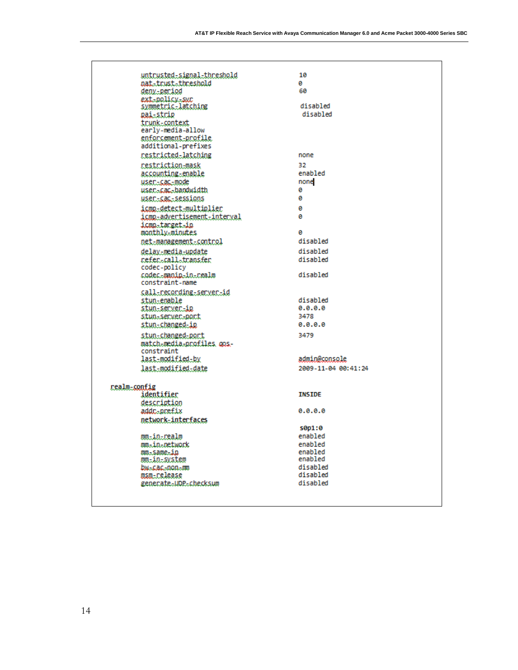| <u>untrusted-signal-threshold</u><br>nat-trust-threshold<br>deny-period<br>ext-policy-sur<br>symmetric-latching<br><u>pai-strip</u> | 10<br>ø<br>60<br>disabled<br>disabled |
|-------------------------------------------------------------------------------------------------------------------------------------|---------------------------------------|
| trunk-context<br>early-media-allow<br>enforcement-profile<br>additional-prefixes                                                    |                                       |
| restricted-latching                                                                                                                 | none                                  |
| restriction-mask<br><u>accounting-enable</u><br><u>user-cac-mode</u><br>user-cac-bandwidth                                          | 32.<br>enabled<br>none<br>ø           |
| user-cac-sessions                                                                                                                   | ø                                     |
| icmp-detect-multiplier<br>icmp_advertisement_interval<br>icmn-target-in<br>monthly-minutes                                          | ø<br>ø<br>0                           |
| net-management-control                                                                                                              | disabled                              |
| delay-media-update                                                                                                                  | disabled                              |
| refer=call=transfer<br>codec-policy                                                                                                 | disabled                              |
| codec-manin-in-realm<br>constraint-name                                                                                             | disabled                              |
| call-recording-server-id                                                                                                            | disabled                              |
| stun-enable<br><u>stun-server-ip</u>                                                                                                | 0.0.0.0                               |
| stun=server=port                                                                                                                    | 3478                                  |
| stun-changed-ip                                                                                                                     | 0.0.0.0                               |
| stun-changed-port<br>match-media-profiles gos-                                                                                      | 3479                                  |
| constraint                                                                                                                          |                                       |
| last-modified-by                                                                                                                    | admin@console                         |
| last-modified-date                                                                                                                  | 2009-11-04 00:41:24                   |
| realm-config                                                                                                                        |                                       |
| identifier                                                                                                                          | <b>INSIDE</b>                         |
| description                                                                                                                         |                                       |
| addc-prefix                                                                                                                         | 0.0.0.0                               |
| network-interfaces                                                                                                                  |                                       |
|                                                                                                                                     | s0p1:0                                |
| mm-in-realm                                                                                                                         | enabled                               |
| mm-in-network<br>mm-same-in                                                                                                         | enabled<br>enabled                    |
| mm <u>-in-svstem</u>                                                                                                                | enabled                               |
| bw-cac-non-m                                                                                                                        | disabled                              |
| <u>msm-release</u>                                                                                                                  | disabled                              |
| generate-UDP-checksum                                                                                                               | disabled                              |
|                                                                                                                                     |                                       |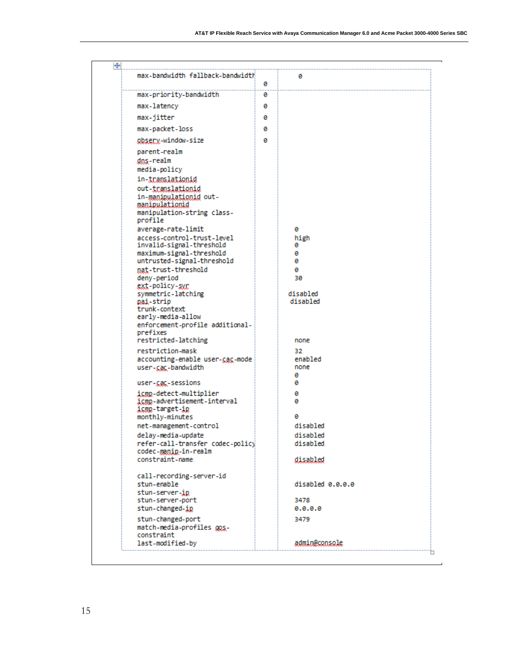$\overline{\phantom{0}}$ 

| max-bandwidth fallback-bandwidth                    | Θ | Θ                |
|-----------------------------------------------------|---|------------------|
| max-priority-bandwidth                              | Θ |                  |
| max-latency                                         | Θ |                  |
| max-jitter                                          | ø |                  |
|                                                     |   |                  |
| max-packet-loss                                     | ø |                  |
| obsery-window-size                                  | Θ |                  |
| parent-realm                                        |   |                  |
| dns-realm                                           |   |                  |
| media-policy                                        |   |                  |
| in-translationid<br>out-translationid               |   |                  |
| in-manipulationid out-                              |   |                  |
| manipulationid                                      |   |                  |
| manipulation-string class-                          |   |                  |
| profile                                             |   |                  |
| average-rate-limit<br>access-control-trust-level    |   | ø<br>high        |
| invalid-signal-threshold                            |   | ø                |
| maximum-signal-threshold                            |   | ø                |
| untrusted-signal-threshold                          |   | ø                |
| nat-trust-threshold<br>deny-period                  |   | Θ<br>30          |
| ext-policy-syr                                      |   |                  |
| symmetric-latching                                  |   | disabled         |
| pai-strip<br>trunk-context                          |   | disabled         |
| early-media-allow                                   |   |                  |
| enforcement-profile additional-                     |   |                  |
| prefixes                                            |   |                  |
| restricted-latching                                 |   | none             |
| restriction-mask<br>accounting-enable user-cac-mode |   | 32<br>enabled    |
| user-cac-bandwidth                                  |   | none             |
|                                                     |   | ø                |
| user-cac-sessions                                   |   | ø                |
| icmp-detect-multiplier                              |   | ø                |
| icmp-advertisement-interval<br>icmp-target-ip       |   | ø                |
| monthly-minutes                                     |   | ø                |
| net-management-control                              |   | disabled         |
| delay-media-update                                  |   | disabled         |
| refer-call-transfer codec-policy                    |   | disabled         |
| codec-manip-in-realm<br>constraint-name             |   | disabled         |
|                                                     |   |                  |
| call-recording-server-id                            |   |                  |
| stun-enable                                         |   | disabled 0.0.0.0 |
| stun-server-ip<br>stun-server-port                  |   | 3478             |
| stun-changed-ip                                     |   | 0.0.0.0          |
| stun-changed-port                                   |   | 3479             |
| match-media-profiles gos-                           |   |                  |
| constraint                                          |   | admin@console    |
| last-modified-by                                    |   |                  |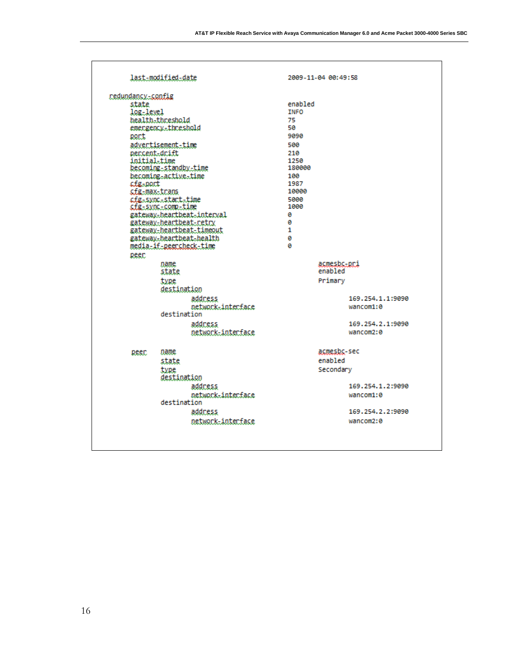| redundancy-config                |                            |                       |
|----------------------------------|----------------------------|-----------------------|
| state                            |                            | enabled               |
| log-level                        |                            | <b>TNFO</b>           |
|                                  | health-threshold           | 75                    |
|                                  | emergency=threshold        | 50                    |
| port                             |                            | 9090                  |
|                                  | advertisement-time         | 500                   |
| percent-drift                    |                            | 210                   |
| initial-time                     |                            | 1250                  |
|                                  | becoming-standby-time      | 180000                |
|                                  | becoming-active-time       | 100<br>1987           |
| cte-port<br><u>cfg-max-trans</u> |                            | 10000                 |
|                                  | cfg-sync-start-time        | 5000                  |
|                                  | cfg-sync-comp-time         | 1000                  |
|                                  | gateway-heartbeat-interval | ø                     |
|                                  | gateway-heartbeat-retry    | ø                     |
|                                  | gateway-heartbeat-timeout  | 1                     |
|                                  | gateway-heartbeat-health   | Θ                     |
|                                  | media-if-peercheck-time    | ø                     |
| peer                             |                            |                       |
|                                  | name                       | acmesbc-pri           |
|                                  | state                      | enabled               |
|                                  | type                       | Primary               |
|                                  | destination                |                       |
|                                  | address                    | 169.254.1.1:9090      |
|                                  | network-interface          | wancom1:0             |
|                                  | destination                |                       |
|                                  | address                    | 169.254.2.1:9090      |
|                                  | network-interface          | wancom <sub>2:0</sub> |
| peer                             | name                       | acmesbc-sec           |
|                                  | state                      | enabled               |
|                                  | type                       | Secondary             |
|                                  | destination                |                       |
|                                  | address                    | 169.254.1.2:9090      |
|                                  | network-interface          | wancom1:0             |
|                                  | destination                |                       |
|                                  | address                    | 169.254.2.2:9090      |
|                                  | network-interface          | wancom2:0             |
|                                  |                            |                       |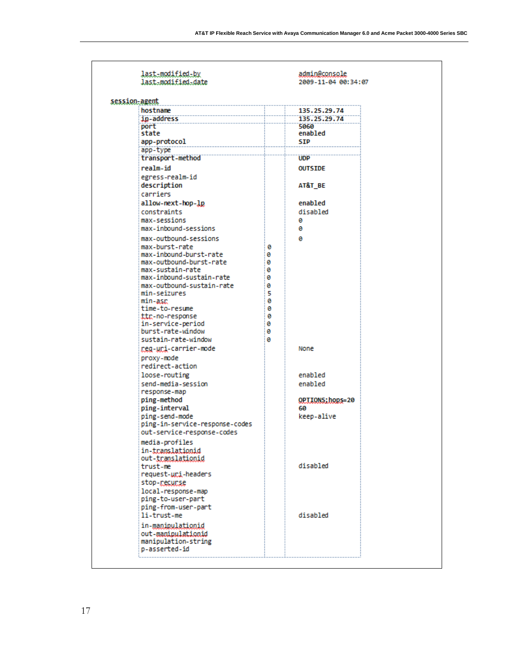| last-modified-by<br>last-modified-date |        | admin@console<br>2009-11-04 00:34:07 |
|----------------------------------------|--------|--------------------------------------|
| session-agent                          |        |                                      |
| hostname                               |        | 135.25.29.74                         |
| ip-address                             |        | 135.25.29.74                         |
| port                                   |        | 5060                                 |
| state                                  |        | enabled                              |
| app-protocol                           |        | <b>SIP</b>                           |
| app-type                               |        |                                      |
| transport-method                       |        | <b>UDP</b>                           |
| realm-id                               |        | <b>OUTSIDE</b>                       |
| egress-realm-id                        |        |                                      |
| description                            |        | AT&T BE                              |
| carriers                               |        |                                      |
| allow-next-hop-lp                      |        | enabled                              |
| constraints                            |        | disabled                             |
| max-sessions                           |        | ø                                    |
| max-inbound-sessions                   |        | 0                                    |
| max-outbound-sessions                  |        | ø                                    |
| max-burst-rate                         | ø      |                                      |
| max-inbound-burst-rate                 | ø      |                                      |
| max-outbound-burst-rate                | Θ      |                                      |
| max-sustain-rate                       | ø      |                                      |
| max-inbound-sustain-rate               | ø      |                                      |
| max-outbound-sustain-rate              | 0      |                                      |
| min-seizures<br>min-asr                | 5<br>0 |                                      |
| time-to-resume                         | Θ      |                                      |
| ttr-no-response                        | Θ      |                                      |
| in-service-period                      | ø      |                                      |
| burst-rate-window                      | 0      |                                      |
| sustain-rate-window                    | ø      |                                      |
| ceg-uci-carrier-mode                   |        | None                                 |
| proxy-mode                             |        |                                      |
| redirect-action                        |        |                                      |
| loose-routing                          |        | enabled                              |
| send-media-session                     |        | enabled                              |
| response-map                           |        |                                      |
| ping-method                            |        | QPIIONS; hops=20                     |
| ping-interval                          |        | 60                                   |
| ping-send-mode                         |        | keep-alive                           |
| ping-in-service-response-codes         |        |                                      |
| out-service-response-codes             |        |                                      |
| media-profiles                         |        |                                      |
| in-translationid                       |        |                                      |
| out-translationid                      |        |                                      |
| trust-me                               |        | disabled                             |
| request-uci-headers                    |        |                                      |
| stop-recurse                           |        |                                      |
| local-response-map                     |        |                                      |
| ping-to-user-part                      |        |                                      |
| ping-from-user-part                    |        |                                      |
| li-trust-me                            |        | disabled                             |
| in-manipulationid                      |        |                                      |
| out-manipulationid                     |        |                                      |
| manipulation-string                    |        |                                      |
| p-asserted-id                          |        |                                      |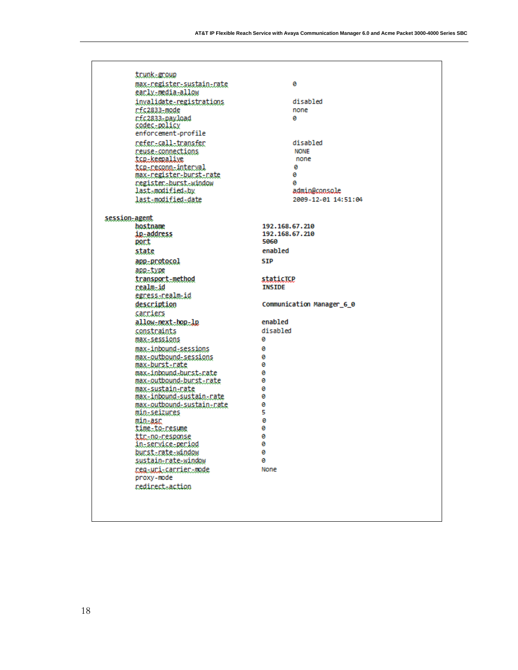|               | trunk-group                                         |                |                           |
|---------------|-----------------------------------------------------|----------------|---------------------------|
|               | max-register-sustain-rate                           |                | ø                         |
|               | early_media_allow                                   |                |                           |
|               | invalidate-registrations                            |                | disabled                  |
|               | rfc2833-mode                                        |                | none                      |
|               | rfc2833-payload                                     |                | ø                         |
|               | codec-policy<br>enforcement-profile                 |                |                           |
|               |                                                     |                |                           |
|               | refer-call-transfer                                 |                | disabled                  |
|               | reuse-connections<br>tcp-keepalive                  |                | <b>NONE</b><br>none       |
|               | tcg-reconn-interval                                 |                | ø                         |
|               | max-register-burst-rate                             |                | Θ                         |
|               | register-burst-window                               |                | ø                         |
|               | last-modified-by                                    |                | admin@console             |
|               | last-modified-date                                  |                | 2009-12-01 14:51:04       |
|               |                                                     |                |                           |
| session-agent |                                                     |                |                           |
|               | hostname                                            | 192.168.67.210 |                           |
|               | ip-address                                          | 192.168.67.210 |                           |
|               | port                                                | 5060           |                           |
|               | state                                               | enabled        |                           |
|               | app-protocol                                        | <b>SIP</b>     |                           |
|               | app-type                                            |                |                           |
|               | transport-method                                    | staticTCP      |                           |
|               | realm-id                                            | <b>INSIDE</b>  |                           |
|               | egress-realm-id                                     |                |                           |
|               | description                                         |                | Communication Manager 6 0 |
|               | carriers                                            |                |                           |
|               | allow-next-hop-lp                                   | enabled        |                           |
|               | constraints                                         | disabled       |                           |
|               | max-sessions                                        | ø              |                           |
|               | max-inbound-sessions                                | 0              |                           |
|               | max-outbound-sessions                               | 0              |                           |
|               | max-burst-rate                                      | 0              |                           |
|               | max.inbound.burst.rate                              | 0              |                           |
|               | max-outbound-burst-rate                             | 0<br>Θ         |                           |
|               | max-sustain-rate<br><u>max-inbound-sustain-rate</u> | Θ              |                           |
|               | max-outbound-sustain-rate                           | 0              |                           |
|               | min-seizures                                        | 5              |                           |
|               | min-asr                                             | 0              |                           |
|               | time-to-resume                                      | Θ              |                           |
|               | <u>ttr-no-response</u>                              | 0              |                           |
|               | in-service-period                                   | ø              |                           |
|               | bunstEnateEwindow                                   | 0              |                           |
|               | sustain-rate-window                                 | 0              |                           |
|               | reg-uri-carrier-mode                                | None           |                           |
|               | proxy-mode                                          |                |                           |
|               | nedinect-action                                     |                |                           |
|               |                                                     |                |                           |
|               |                                                     |                |                           |
|               |                                                     |                |                           |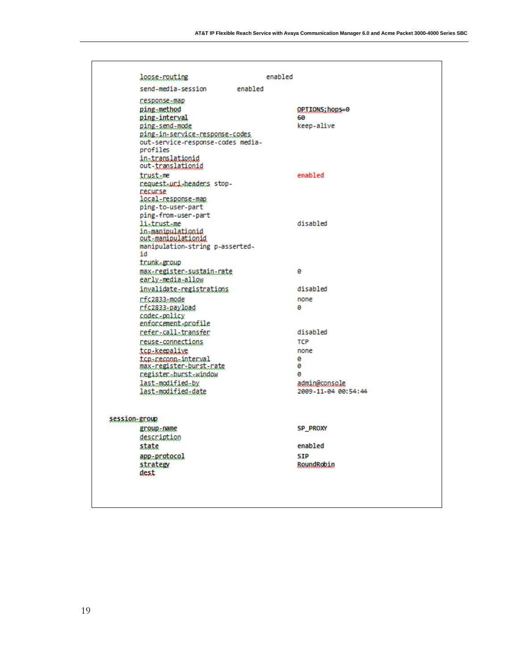|               | loose-routing                                                                                                                                                                         |         | enabled |                                                                                       |  |
|---------------|---------------------------------------------------------------------------------------------------------------------------------------------------------------------------------------|---------|---------|---------------------------------------------------------------------------------------|--|
|               | send-media-session                                                                                                                                                                    | enabled |         |                                                                                       |  |
|               | response-map<br>ping-method<br>ping-interval<br>ping-send-mode<br><u>ping-in-service-response-codes.</u><br>out-service-response-codes media-<br>profiles<br>in-translationid         |         |         | OPTIONS; hops=0<br>60<br>keep-alive                                                   |  |
|               | out- <u>translationid</u><br>trust-me<br>request-uri-headers stop-<br>recurse<br>local-response-map                                                                                   |         |         | enabled                                                                               |  |
|               | ping-to-user-part<br>ping-from-user-part<br>listrustsme<br>in-manipulationid<br>out-manipulationid<br>manipulation-string p-asserted-                                                 |         |         | disabled                                                                              |  |
|               | id<br>trunk-group<br><u>max-register-sustain-rate</u><br><u>early-media-allow</u>                                                                                                     |         |         | ø                                                                                     |  |
|               | invalidate-registrations<br>rfc2833-mode<br>rfc2833-payload<br>codec-policy<br>enforcement-profile                                                                                    |         |         | disabled<br>none<br>ø                                                                 |  |
|               | refer-call-transfer<br><u>reuse-connections</u><br>tcp-keepalive<br>tca-reconn-interval<br>max-register-burst-rate<br>register-burst-window<br>last-modified-by<br>last-modified-date |         |         | disabled<br><b>TCP</b><br>none<br>ø<br>ø<br>a<br>admin@console<br>2009-11-04 00:54:44 |  |
| session-group | group-name<br>description<br>state<br>app-protocol<br>strategy<br>dest                                                                                                                |         |         | <b>SP PROXY</b><br>enabled<br><b>STP</b><br>RoundRobin                                |  |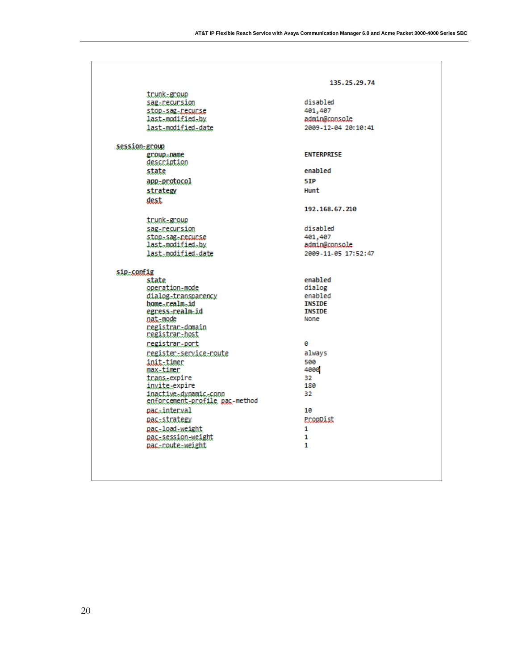| trunk-group                                             |                          |
|---------------------------------------------------------|--------------------------|
| sag-recursion                                           | disabled                 |
| stop-sag-recurse                                        | 401,407                  |
| last-modified-by                                        | admin@console            |
| last-modified-date                                      | 2009-12-04 20:10:41      |
| session-group                                           |                          |
| group-name                                              | <b>ENTERPRISE</b>        |
| description                                             | enabled                  |
| state                                                   |                          |
| app-protocol                                            | <b>SIP</b>               |
| strategy                                                | Hunt                     |
| dest                                                    |                          |
|                                                         | 192.168.67.210           |
| trunk-group                                             |                          |
| sag-recursion                                           | disabled                 |
| stop-sag-recurse                                        | 401,407                  |
| last-modified-by                                        | admin@console            |
| last-modified-date                                      | 2009-11-05 17:52:47      |
| sip-config                                              |                          |
| state                                                   | enabled                  |
| operation-mode                                          | dialog                   |
| dialog-transparency<br>home-realm-id                    | enabled<br><b>TNSTDE</b> |
| egress-realm-id                                         | <b>TNSTDE</b>            |
| nat-mode                                                | None                     |
| negistran-domain<br>registrar-host                      |                          |
| registrar-port                                          | ø                        |
| register-service-route                                  | always                   |
| init-timer                                              | 500                      |
| max-timer                                               | 4000                     |
| trans <sub>z</sub> expire                               | 32                       |
| invite-expire                                           | 180                      |
| inactive.dynamic.conn<br>enforcement-profile pac-method | 32                       |
| pac.interval                                            | 10                       |
| pac-strategy                                            | PropDist                 |
| pac-load-weight                                         | 1                        |
| pac-session-weight                                      | 1                        |
| nac-route-weight                                        | 1                        |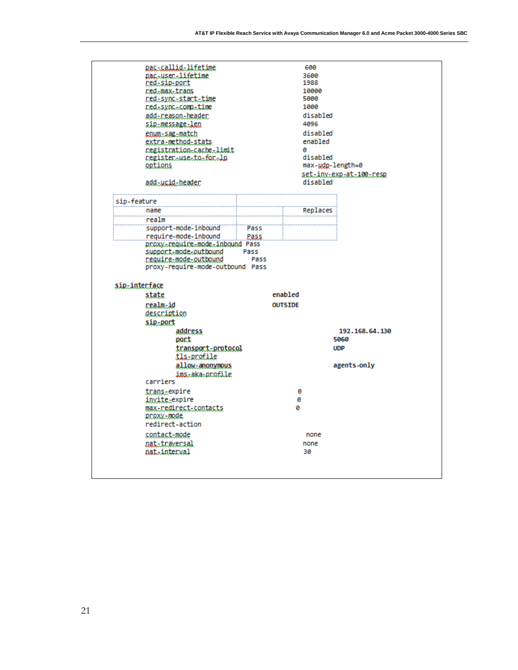|             | pac-user-lifetime<br>red-sip-port<br>ned-max-trans<br><u>red-sync-start-time</u><br>red=sync=comp=time<br>add-neason-headen<br><u>sip-message-len</u><br>enum-sag-match<br><u>extra-method-stats</u><br>registration=cache=limit<br>register-use-to-for-lo<br>options<br>add-ucid-header |       |                | 600<br>3600<br>1988<br>10000<br>5000<br>1000<br>disabled<br>4096<br>disabled<br>enabled<br>a<br>disabled<br>max-udp-length=0<br>disabled | <u>set-inv-exp-at-100-resp</u> |
|-------------|------------------------------------------------------------------------------------------------------------------------------------------------------------------------------------------------------------------------------------------------------------------------------------------|-------|----------------|------------------------------------------------------------------------------------------------------------------------------------------|--------------------------------|
| sip-feature |                                                                                                                                                                                                                                                                                          |       |                |                                                                                                                                          |                                |
|             | name                                                                                                                                                                                                                                                                                     |       |                | Replaces                                                                                                                                 |                                |
|             | realm                                                                                                                                                                                                                                                                                    |       |                |                                                                                                                                          |                                |
|             | support-mode-inbound                                                                                                                                                                                                                                                                     | Pass  |                |                                                                                                                                          |                                |
|             | require-mode-inbound                                                                                                                                                                                                                                                                     | Pass. |                |                                                                                                                                          |                                |
|             | proxy-require-mode-inbound Pass<br>support-mode-outbound                                                                                                                                                                                                                                 | Pass  |                |                                                                                                                                          |                                |
|             | require-mode-outbound<br>proxy-require-mode-outbound Pass<br>sip-interface                                                                                                                                                                                                               | Pass  |                |                                                                                                                                          |                                |
|             | state                                                                                                                                                                                                                                                                                    |       | enabled        |                                                                                                                                          |                                |
|             | realm-id                                                                                                                                                                                                                                                                                 |       | <b>OUTSIDE</b> |                                                                                                                                          |                                |
|             | description                                                                                                                                                                                                                                                                              |       |                |                                                                                                                                          |                                |
|             | sip-port                                                                                                                                                                                                                                                                                 |       |                |                                                                                                                                          |                                |
|             | address                                                                                                                                                                                                                                                                                  |       |                |                                                                                                                                          | 192.168.64.130                 |
|             | port                                                                                                                                                                                                                                                                                     |       |                |                                                                                                                                          | 5060                           |
|             | transport-protocol                                                                                                                                                                                                                                                                       |       |                |                                                                                                                                          | <b>UDP</b>                     |
|             | tls-profile                                                                                                                                                                                                                                                                              |       |                |                                                                                                                                          |                                |
|             | allow-anonymous<br>ims-aka-profile<br>carriers                                                                                                                                                                                                                                           |       |                |                                                                                                                                          | agents-only                    |
|             | trans-expire                                                                                                                                                                                                                                                                             |       |                | ø                                                                                                                                        |                                |
|             | invite-expire                                                                                                                                                                                                                                                                            |       |                | 0                                                                                                                                        |                                |
|             | max-redirect-contacts<br>proxy-mode                                                                                                                                                                                                                                                      |       | ø              |                                                                                                                                          |                                |
|             | redirect-action                                                                                                                                                                                                                                                                          |       |                |                                                                                                                                          |                                |
|             | contact-mode<br>nat-traversal                                                                                                                                                                                                                                                            |       |                | none<br>none                                                                                                                             |                                |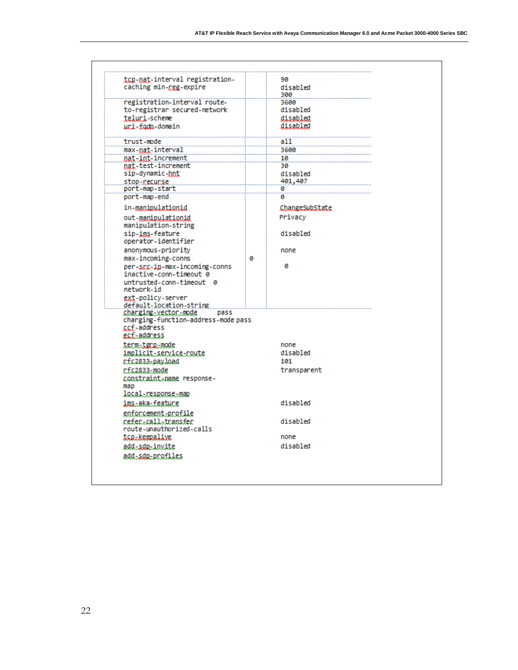| tcp-nat-interval registration-            |   | 90              |
|-------------------------------------------|---|-----------------|
| caching min-reg-expire                    |   | disabled<br>300 |
| registration-interval route-              |   | 3600            |
| to-registrar secured-network              |   | disabled        |
| teluri-scheme                             |   | disabled        |
| uri-fadn-domain                           |   | disabled        |
| trust-mode                                |   | a11             |
| max-nat-interval                          |   | 3600            |
| nat-int-increment                         |   | 10              |
| nat-test-increment                        |   | 30              |
| sip-dynamic-hnt                           |   | disabled        |
| stop-recurse                              |   | 401,407         |
| port-map-start                            |   | ø               |
| port-map-end                              |   | ø               |
| in-manipulationid                         |   | ChangeSubState  |
| out-manipulationid<br>manipulation-string |   | Privacy         |
| sip-ims-feature<br>operator-identifier    |   | disabled        |
| anonymous-priority                        |   | none            |
| max-incoming-conns                        | ø |                 |
| per-scc-ip-max-incoming-conns             |   | ø               |
| inactive-conn-timeout 0                   |   |                 |
| untrusted-conn-timeout 0                  |   |                 |
| network-id                                |   |                 |
| ext-policy-server                         |   |                 |
| default-location-string                   |   |                 |
| charging-vector-mode<br>pass              |   |                 |
| charging-function-address-mode pass       |   |                 |
| <u>ccf</u> -address                       |   |                 |
| <u>ecf-address</u>                        |   |                 |
| term-tgrp-mode                            |   | none            |
|                                           |   |                 |
| implicit-service-route                    |   | disabled        |
| rfc2833-payload                           |   | 101             |
| rfc2833-mode                              |   | transparent     |
| constraint-name response-                 |   |                 |
| map                                       |   |                 |
| local-response-map                        |   |                 |
|                                           |   | disabled        |
| ims-aka-feature                           |   |                 |
| enforcement-profile                       |   |                 |
| refer-call-transfer                       |   | disabled        |
| route-unauthorized-calls                  |   |                 |
| tcp-keepalive                             |   | none            |
| add-sdp-invite<br>add-sdp-profiles        |   | disabled        |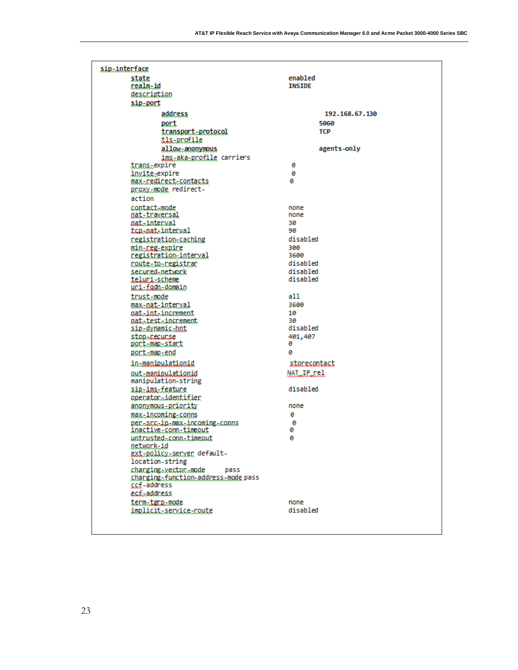| sip-interface                                        |                      |
|------------------------------------------------------|----------------------|
| state                                                | enabled              |
| realm-id                                             | <b>INSIDE</b>        |
| description                                          |                      |
| sip-port                                             |                      |
| address                                              | 192.168.67.130       |
| port                                                 | 5060                 |
| transport-protocol                                   | TCP                  |
| tls-profile<br>allow-anonymous                       | agents-only          |
| ims-aka-profile carriers                             |                      |
| trans-expire                                         | Θ                    |
| invite-expire                                        | Θ                    |
| max-redirect-contacts                                | ø                    |
| proxy-mode redirect-                                 |                      |
| action                                               |                      |
| contact-mode                                         | none<br>none         |
| <u>nat-traversal</u><br>nat-interval                 | 30                   |
| tcn-nat-interval                                     | 90                   |
| registration-caching                                 | disabled             |
| min-reg-expire                                       | 300                  |
| registration-interval                                | 3600                 |
| <u>route-to-registrar</u>                            | disabled<br>disabled |
| secured-network<br>teluri-scheme                     | disabled             |
| <u>uri-fadn-domain</u>                               |                      |
| trust-mode                                           | all                  |
| max-nat-interval                                     | 3600                 |
| nat-int-increment                                    | 10                   |
| nat-test-increment                                   | 30<br>disabled       |
| sip-dynamic-hnt<br>stop-recurse                      | 401,407              |
| port-map-start                                       | Θ                    |
| port-map-end                                         | ø                    |
| in-manipulationid                                    | storecontact         |
| out-manipulationid                                   | NAT IP rel           |
| manipulation-string                                  |                      |
| sip-ims-feature                                      | disabled             |
| operator-identifier                                  |                      |
| anonymous-priority                                   | none<br>Θ            |
| max-incoming-conns<br>per-scc-in-max-incoming-conns  | Θ                    |
| inactive.conn.timeout                                | 0                    |
| untrusted=conn=timeout                               | 0                    |
| network-id                                           |                      |
| <u>ext-policy-server</u> default-<br>location-string |                      |
| changingsvectorsmode<br>pass                         |                      |
| charging-function-address-mode pass                  |                      |
| ccf-address                                          |                      |
| ecf.-address                                         |                      |
| term-tgrp-mode                                       | none                 |
| implicit_service_route                               | disabled             |
|                                                      |                      |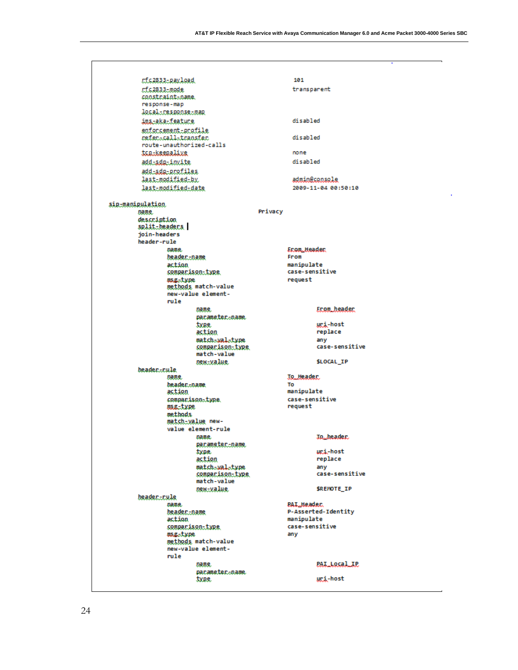$\bullet$ 

 $\overline{\phantom{a}}$ 

|                  | rfc2833-payload               |                                           |         | 101               |                       |
|------------------|-------------------------------|-------------------------------------------|---------|-------------------|-----------------------|
|                  | rfc2833-mode                  |                                           |         | transparent       |                       |
|                  | constraint-name.              |                                           |         |                   |                       |
|                  | response-map                  |                                           |         |                   |                       |
|                  | <b>local_response_map</b>     |                                           |         |                   |                       |
|                  | imatakatfeatune               |                                           |         | disabled          |                       |
|                  | enforcement-profile           |                                           |         |                   |                       |
|                  | referacallatransfer           |                                           |         | disabled          |                       |
|                  | route-unauthorized-calls      |                                           |         |                   |                       |
|                  | ton-keenalive                 |                                           |         | none              |                       |
|                  | add=sdg=invite                |                                           |         | disabled          |                       |
|                  | add-sdg-profiles              |                                           |         |                   |                       |
|                  | last-modified-by              |                                           |         |                   | admin@coosole         |
|                  | last-modified-date            |                                           |         |                   | 2009-11-04 00:50:10   |
|                  |                               |                                           |         |                   |                       |
| sip-manipulation |                               |                                           |         |                   |                       |
|                  | name.                         |                                           | Privacy |                   |                       |
|                  | description                   |                                           |         |                   |                       |
|                  | split-headers<br>ioin-headers |                                           |         |                   |                       |
|                  | header-rule                   |                                           |         |                   |                       |
|                  | name.                         |                                           |         | Enon Headen       |                       |
|                  | header-name                   |                                           |         | From              |                       |
|                  | action                        |                                           |         | manipulate        |                       |
|                  |                               | <u>comparison-type</u>                    |         | case-sensitive    |                       |
|                  | msg-type                      |                                           |         | request           |                       |
|                  |                               | methods match-value                       |         |                   |                       |
|                  |                               | new-value element-                        |         |                   |                       |
|                  | rule                          |                                           |         |                   |                       |
|                  |                               | name.<br>pacameter-name                   |         |                   | <u>From header</u>    |
|                  |                               | type.                                     |         |                   | uri-host              |
|                  |                               | action                                    |         |                   | replace               |
|                  |                               | match-wal-type                            |         |                   | anv                   |
|                  |                               | <u>comparison-type</u>                    |         |                   | case-sensitive        |
|                  |                               | match-value                               |         |                   |                       |
|                  |                               | new-value.                                |         |                   | <b>SLOCAL IP</b>      |
|                  | <b>beader-rule</b>            |                                           |         |                   |                       |
|                  | name.                         |                                           |         | To Header.        |                       |
|                  | beader.coame<br>action        |                                           |         | To<br>manipulate  |                       |
|                  |                               | comparison-type.                          |         | case-sensitive    |                       |
|                  | asg-type                      |                                           |         | request           |                       |
|                  | methods                       |                                           |         |                   |                       |
|                  |                               | match-value new-                          |         |                   |                       |
|                  |                               | value element-rule                        |         |                   |                       |
|                  |                               | name.                                     |         |                   | To header.            |
|                  |                               | pacameter.name                            |         |                   |                       |
|                  |                               | type.                                     |         |                   | uri-host              |
|                  |                               | action                                    |         |                   | replace               |
|                  |                               | match-wal-type<br><u>comparison-type</u>  |         |                   | any<br>case-sensitive |
|                  |                               | match-value                               |         |                   |                       |
|                  |                               | new-value.                                |         |                   | SREMOTE IP            |
|                  | header-rule                   |                                           |         |                   |                       |
|                  | name.                         |                                           |         | <b>PAL Header</b> |                       |
|                  | header-name                   |                                           |         |                   | P-Asserted-Identity   |
|                  | action                        |                                           |         | manipulate        |                       |
|                  |                               | comparison-type                           |         | case-sensitive    |                       |
|                  | osgetype                      |                                           |         | any               |                       |
|                  |                               | methods match-value<br>new-value element- |         |                   |                       |
|                  | rule                          |                                           |         |                   |                       |
|                  |                               | name.                                     |         |                   | <b>PAI_Local_IP</b>   |
|                  |                               | pacameter-name                            |         |                   |                       |
|                  |                               | type.                                     |         |                   | <u>uri</u> -host      |
|                  |                               |                                           |         |                   |                       |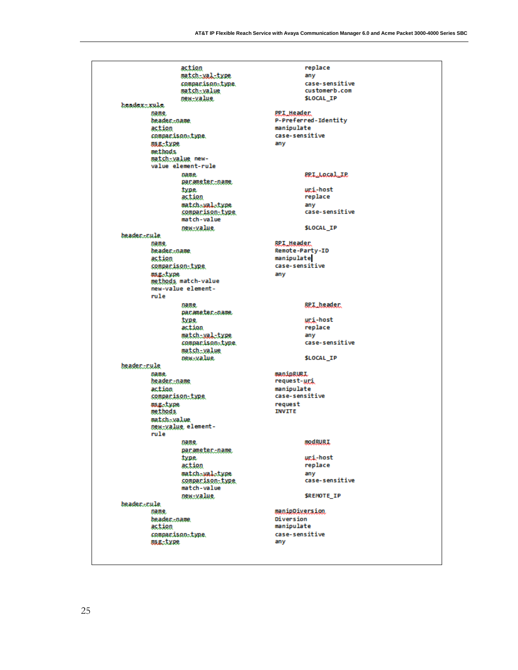|                       | action<br>match-xal-type                         |                                   | replace<br>any<br>case-sensitive  |
|-----------------------|--------------------------------------------------|-----------------------------------|-----------------------------------|
|                       | comparison-type<br>match-value<br>new-value      |                                   | customerb.com<br><b>SLOCAL IP</b> |
| header-rule           |                                                  |                                   |                                   |
| name.                 |                                                  | PPI Header                        |                                   |
| beadername            |                                                  |                                   | P-Preferred-Identity              |
| action                | comparison-type                                  | manipulate<br>case-sensitive      |                                   |
| msg-type              |                                                  | any                               |                                   |
| methods               |                                                  |                                   |                                   |
|                       | match-value new-<br>value element-rule           |                                   |                                   |
|                       | name.<br>parameter-name                          |                                   | <b>ERI_LOCAL_IR</b>               |
|                       | type.<br>action                                  |                                   | uri-host<br>replace               |
|                       | match-wal-type                                   |                                   | any                               |
|                       | comparison-type<br>match-value                   |                                   | case-sensitive                    |
|                       | new-value.                                       |                                   | <b>SLOCAL IP</b>                  |
| beader-rule           |                                                  |                                   |                                   |
| name.<br>beadername.  |                                                  | RPI Header<br>Remote-Party-ID     |                                   |
| action                |                                                  | manipulate                        |                                   |
|                       | comparison-type                                  | case-sensitive                    |                                   |
| <b>msg-type</b>       |                                                  | any                               |                                   |
|                       | methods match-value<br>new-value element-        |                                   |                                   |
| rule                  |                                                  |                                   |                                   |
|                       | name                                             |                                   | <u>RPI header</u>                 |
|                       | pacameter-name                                   |                                   |                                   |
|                       | <u>type</u>                                      |                                   | uri-host                          |
|                       | action                                           |                                   | replace                           |
|                       | match-wal-type<br>comparison-type                |                                   | any<br>case-sensitive             |
|                       | match-value                                      |                                   |                                   |
|                       | new-value.                                       |                                   | <b>SLOCAL IP</b>                  |
| header-rule           |                                                  |                                   |                                   |
| name.                 |                                                  | <b>manipRURI</b>                  |                                   |
| header-name<br>action |                                                  | request- <u>uri</u><br>manipulate |                                   |
|                       | comparison-type                                  | case-sensitive                    |                                   |
| <b>msg-type</b>       |                                                  | request                           |                                   |
| methods               |                                                  | <b>INVITE</b>                     |                                   |
| match-value<br>rule   | Dewtyalue element-                               |                                   |                                   |
|                       | name.<br><u>parameter-name</u>                   |                                   | <b>modBURI</b>                    |
|                       | type.                                            |                                   | uri-host                          |
|                       | action                                           |                                   | replace                           |
|                       | match-wal-type<br>comparison-type<br>match-value |                                   | any<br>case-sensitive             |
|                       | new-value                                        |                                   | <b>SREMOTE IP</b>                 |
| beader-rule           |                                                  | manipDiversion.                   |                                   |
| name.<br>beadername   |                                                  | Diversion                         |                                   |
| action                |                                                  | manipulate                        |                                   |
|                       | comparison-type                                  | case-sensitive                    |                                   |
| msg-type              |                                                  | any                               |                                   |
|                       |                                                  |                                   |                                   |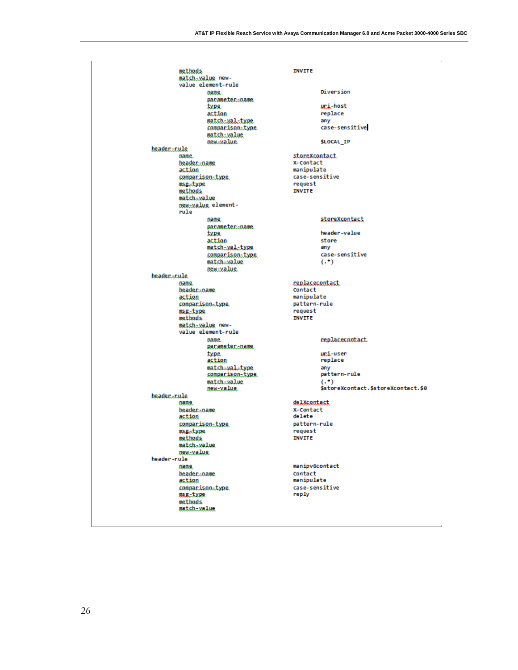| methods                                | <b>INVITE</b>                       |
|----------------------------------------|-------------------------------------|
| match-value new-<br>value element-rule |                                     |
| name.                                  | Diversion                           |
| pacameter-name                         |                                     |
| type.                                  | uri-host                            |
| action                                 | replace                             |
| match-val-type                         | any                                 |
| comparison-type                        | case-sensitive                      |
| match-value                            |                                     |
| new-value.                             | <b>SLOCAL IP</b>                    |
| <u> header-rule</u>                    |                                     |
| name.                                  | storeXcontact                       |
| header-name                            | X-Contact                           |
| action                                 | manipulate                          |
| comparison-type                        | case-sensitive                      |
| <b>ms.g.-type</b>                      | request                             |
| methods                                | <b>INVITE</b>                       |
| match-value                            |                                     |
| new-value element-                     |                                     |
| rule                                   |                                     |
| name,                                  | storeXcontact                       |
| pacameter-name                         |                                     |
| type.                                  | header-value                        |
| action                                 | store                               |
| match-xal-type                         | any                                 |
| comparison-type                        | case-sensitive                      |
| match-value                            | $($ . $^{\bullet}$                  |
| new-value.                             |                                     |
| beader.cule                            | replacecontact.                     |
| name.<br>beadername                    | Contact                             |
| action                                 | manipulate                          |
| companison-type                        | pattern-rule                        |
| msg-type                               | request                             |
| methods                                | <b>INVITE</b>                       |
| match-value new-                       |                                     |
| value element-rule                     |                                     |
| name.                                  | <b>replacecontact</b>               |
| parameter-name                         |                                     |
| type.                                  | uri-user                            |
| action                                 | replace                             |
| match-wal-type                         | any                                 |
| <u>comparison-type</u>                 | pattern-rule                        |
| match-value                            | $( . + )$                           |
| new-value.                             | \$storeXcontact.\$storeXcontact.\$0 |
| beader.cule                            |                                     |
| name.                                  | delXcontact                         |
| beader-name                            | X-Contact                           |
| action                                 | delete                              |
| comparison-type                        | pattern-rule                        |
| asg-type                               | request                             |
| methods.                               | <b>INVITE</b>                       |
| match-value                            |                                     |
| new-value<br>header-rule               |                                     |
|                                        | manipv6contact                      |
| name.                                  | Contact                             |
| beaderpame<br>action                   | manipulate                          |
| comparison-type                        | case-sensitive                      |
| <b>USE-type</b>                        | reply                               |
| methods                                |                                     |
| match-value                            |                                     |
|                                        |                                     |
|                                        |                                     |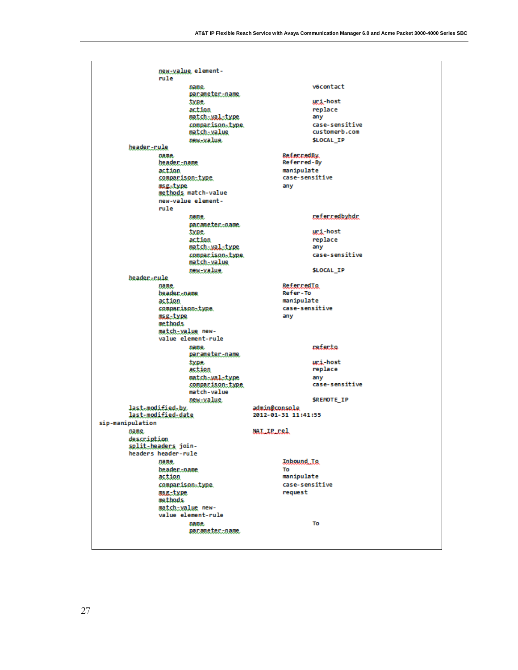| new-value element-                            |                                      |
|-----------------------------------------------|--------------------------------------|
| rule                                          |                                      |
| name.                                         | v6contact                            |
| parameter-name.<br>type.                      | uri-host                             |
| action                                        | replace                              |
| match-xal-type                                | any                                  |
| comparison-type                               | case-sensitive                       |
| <u>match-value</u>                            | customerb.com                        |
| new-value.<br>header-rule                     | <b>SLOCAL IP</b>                     |
| name.                                         | ReferredBy                           |
| <u>beader-name</u>                            | Referred-By                          |
| action                                        | manipulate                           |
| comparison-type<br>asg-type                   | case-sensitive<br>any                |
| methods match-value                           |                                      |
| new-value element-                            |                                      |
| rule                                          |                                      |
| name.                                         | referredbyhdr                        |
| pacameter-name<br>type.                       | <u>uri</u> -host                     |
| action                                        | replace                              |
| match-xal-type                                | any                                  |
| comparison-type.                              | case-sensitive                       |
| match-value                                   |                                      |
| new-value<br>beader-rule                      | <b>SLOCAL IP</b>                     |
| name.                                         | ReferredTo                           |
| beader.name                                   | Refer-To                             |
| action                                        | manipulate                           |
| comparison-type<br>msg-type                   | case-sensitive<br>any                |
| methods                                       |                                      |
| match-value new-                              |                                      |
| value element-rule                            |                                      |
| name.<br><u>parameter-name</u>                | referta                              |
| type.                                         | uri-host                             |
| action<br>match-wal-type                      | replace                              |
| comparison-type                               | any<br>case-sensitive                |
| match-value                                   |                                      |
| new-value                                     | SREMOTE IP                           |
| last-modified-by<br><u>last-modified-date</u> | admin@console<br>2012-01-31 11:41:55 |
| sip-manipulation                              |                                      |
| name.                                         | <u>NAT IP rel</u>                    |
| description                                   |                                      |
| split-beaders join-<br>headers header-rule    |                                      |
| name.                                         | <b>Inhound</b> To                    |
| <b>beaderoame</b>                             | To                                   |
| action                                        | manipulate                           |
| comparison-type                               | case-sensitive<br>request            |
| msg-type<br>methods                           |                                      |
| match-value new-                              |                                      |
| value element-rule                            |                                      |
| name.                                         | To                                   |
| parameter-name                                |                                      |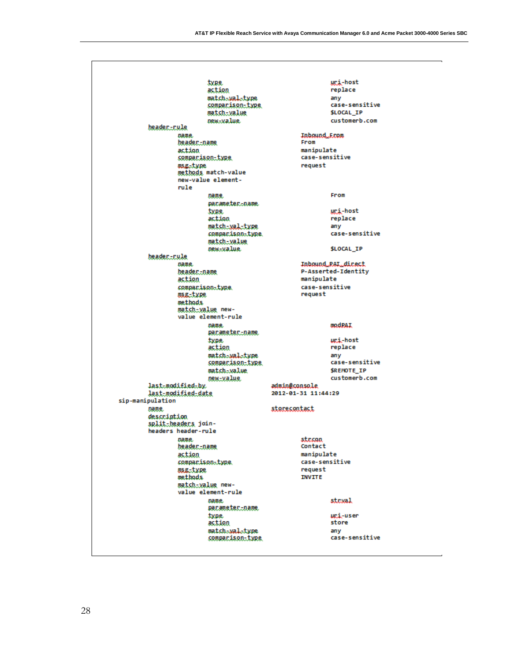|                  | type.                                  | <u>uri</u> -host                          |
|------------------|----------------------------------------|-------------------------------------------|
|                  | action                                 | replace                                   |
|                  | match-wal-type                         | any                                       |
|                  | <u>comparison-type</u>                 | case-sensitive                            |
|                  | match-value                            | <b>SLOCAL IP</b>                          |
|                  | new-value.                             | customerb.com                             |
| header-rule      |                                        |                                           |
|                  | name.                                  | Inbound From<br>From                      |
|                  | header-name                            |                                           |
|                  | action<br>comparison-type              | manipulate<br>case-sensitive              |
|                  | asg-type                               | request                                   |
|                  | methods match-value                    |                                           |
|                  | new-value element-                     |                                           |
|                  | rule                                   |                                           |
|                  | name.                                  | From                                      |
|                  | pacameter-name                         |                                           |
|                  | type.                                  | uri-host                                  |
|                  | action                                 | replace                                   |
|                  | match-wal-type                         | any                                       |
|                  | comparison-type.                       | case-sensitive                            |
|                  | <u>match-value</u>                     |                                           |
|                  | new-value.                             | <b>SLOCAL IP</b>                          |
| header-rule      |                                        |                                           |
|                  | name.                                  | Inbound PAI direct<br>P-Asserted-Identity |
|                  | header-name<br>action                  | manipulate                                |
|                  | comparison-type.                       | case-sensitive                            |
|                  | msg-type                               | request                                   |
|                  | methods                                |                                           |
|                  | match-value new-                       |                                           |
|                  | value element-rule                     |                                           |
|                  | name.                                  | <b>modPAI</b>                             |
|                  | <u>parameter-name</u>                  |                                           |
|                  | type.                                  | uri-host                                  |
|                  | action                                 | replace                                   |
|                  | match-wal-type                         | any                                       |
|                  | <u>comparison-type</u>                 | case-sensitive                            |
|                  | match-value                            | <b>SREMOTE IP</b>                         |
|                  | new-value<br>last-modified-by          | customerb.com<br>admin@console            |
|                  | last_modified_date                     | 2012-01-31 11:44:29                       |
| sip-manipulation |                                        |                                           |
| name.            |                                        | storecontact                              |
| description      |                                        |                                           |
|                  | split-headers join-                    |                                           |
|                  | headers header-rule                    |                                           |
|                  | name.                                  | str.con                                   |
|                  | beadername                             | Contact                                   |
|                  | action                                 | manipulate                                |
|                  | comparison-type.                       | case-sensitive                            |
|                  | asg-type                               | request                                   |
|                  |                                        |                                           |
|                  | methods                                | <b>INVITE</b>                             |
|                  | match-value new-<br>value element-rule |                                           |
|                  |                                        |                                           |
|                  | name.<br>parameter-name.               | strval                                    |
|                  | type.                                  | uri-user                                  |
|                  | action                                 | store                                     |
|                  | match-wal-type                         | any<br>case-sensitive                     |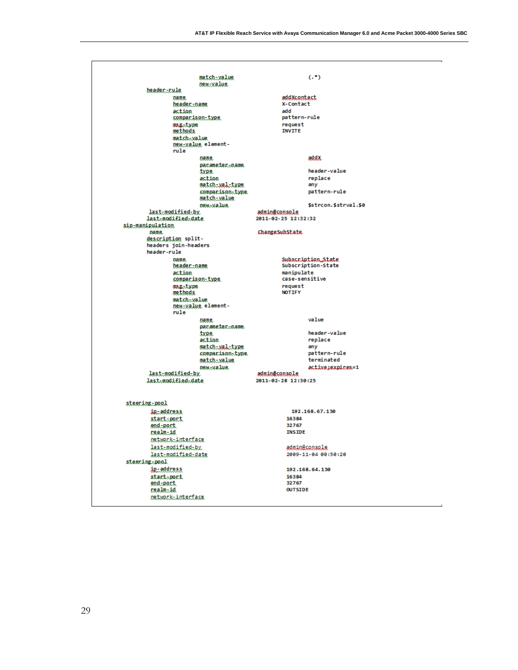| match-value                                    | $(.*)$                                  |
|------------------------------------------------|-----------------------------------------|
| new-value                                      |                                         |
| headerr.ule<br>name.                           | addXcontact                             |
| header-name                                    | X-Contact                               |
| action                                         | add                                     |
| comparison-type                                | pattern-rule                            |
| <b>msg-type</b>                                | request                                 |
| methods                                        | <b>INVITE</b>                           |
| match-value                                    |                                         |
| new-value element-<br>rule                     |                                         |
| name.                                          | addX.                                   |
|                                                | pacameter.coame                         |
| type.                                          | header-value                            |
| action                                         | replace                                 |
| match-xal-type                                 | any<br>pattern-rule<br>comparison-type. |
| match-value                                    |                                         |
| new-value.                                     | \$strcon.\$strval.\$0                   |
| last-modified-by                               | admin@console                           |
| last-modified-date                             | 2011-02-25 12:32:32                     |
| sig-manipulation                               |                                         |
| name.<br>description split-                    | ChangeSubState                          |
| headers join-headers                           |                                         |
| header-rule                                    |                                         |
| name.                                          | Subscription_State                      |
| header-name                                    | Subscription-State                      |
| action                                         | manipulate                              |
| comparison-type                                | case-sensitive<br>request               |
| osg.type<br>methods                            | <b>NOTIFY</b>                           |
| match-value                                    |                                         |
| new-value element-                             |                                         |
| rule                                           |                                         |
| name.                                          | value                                   |
| type.                                          | pacameter.co.ame.<br>header-value       |
| action                                         | replace                                 |
|                                                | match-xal-type<br>any                   |
|                                                | comparison-type<br>pattern-rule         |
| match-value                                    | terminated                              |
| <i>pew.value</i>                               | active:expires=1                        |
| last-modified-by<br>last-modified-date         | admin@console<br>2011-02-28 12:30:25    |
|                                                |                                         |
|                                                |                                         |
| steering-pool                                  |                                         |
| ip-address                                     | 192.168.67.130                          |
| start-port                                     | 16384                                   |
| end-port                                       | 32767                                   |
| realm-id                                       | <b>INSIDE</b>                           |
| <i>n</i> etwork-interface<br>last-modified-by. | admin@console                           |
| last-modified-date                             | 2009-11-04 00:50:20                     |
| steering.pool                                  |                                         |
| ip-address                                     | 192.168.64.130                          |
| start-port                                     | 16384                                   |
| end-port                                       | 32767                                   |
| realmiid                                       | <b>OUTSIDE</b>                          |
| network-interface                              |                                         |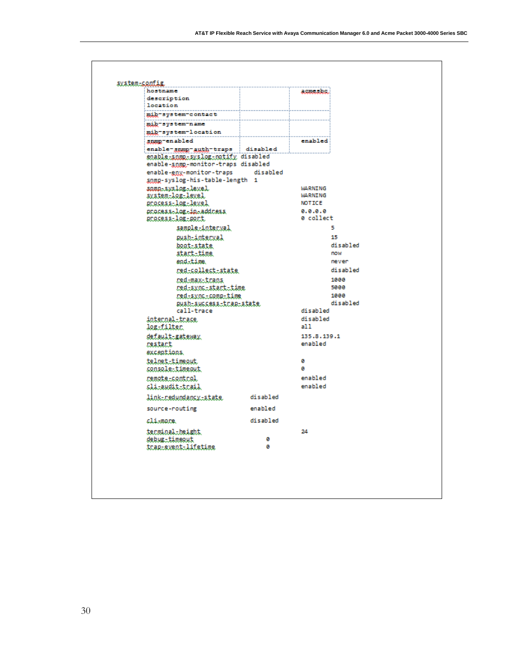| hostname                           |          | acmesbe       |
|------------------------------------|----------|---------------|
| description                        |          |               |
| location                           |          |               |
| mib-system-contact                 |          |               |
| mib-system-name                    |          |               |
| mib-system-location                |          |               |
| snmp-enabled                       |          | enabled       |
| enable-summe-auth-traps disabled   |          |               |
| enable-snmp-syslog-notify disabled |          |               |
| enable-snmp-monitor-traps disabled |          |               |
| enable-gny-monitor-traps           | disabled |               |
| somp-syslog-his-table-length 1     |          |               |
| sama-syslog-level                  |          | WARNING       |
| system-log-level.                  |          | WARNING       |
| gnadess-lag-level                  |          | <b>NOTICE</b> |
| process-log-in-address             |          | 0.0.0.0       |
| <u>process-log-port</u>            |          | 0 collect     |
| sample-interval                    |          | 5             |
| <i>push-interxal</i>               |          | 15            |
| boot-state                         |          | disabled      |
| stact-time                         |          | now           |
| end-time.                          |          | never         |
| red-collect-state                  |          | disabled      |
| red-max-trans                      |          | 1000          |
| red-sync-start-time                |          | 5000          |
| red-sync-comp-time                 |          | 1000          |
| push-success-trap-state,           |          | disabled      |
| call-trace                         |          | disabled      |
| internal-trace.                    |          | disabled      |
| log-filter                         |          | a11           |
| default-gateway                    |          | 135.8.139.1   |
| restart                            |          | enabled       |
| exceptions.                        |          |               |
| teloet-timeout                     |          | ø             |
| console-timeout                    |          | ø             |
| remote-control                     |          | enabled       |
| <u>cli-audit-trail</u>             |          | enabled       |
|                                    |          |               |
| link-redundancy-state.             | disabled |               |
| source-routing                     | enabled  |               |
| climane.                           | disabled |               |
| terminal-height                    |          | 24            |
| debug-timeout                      | ø        |               |
| trap-event-lifetime                | ø        |               |
|                                    |          |               |